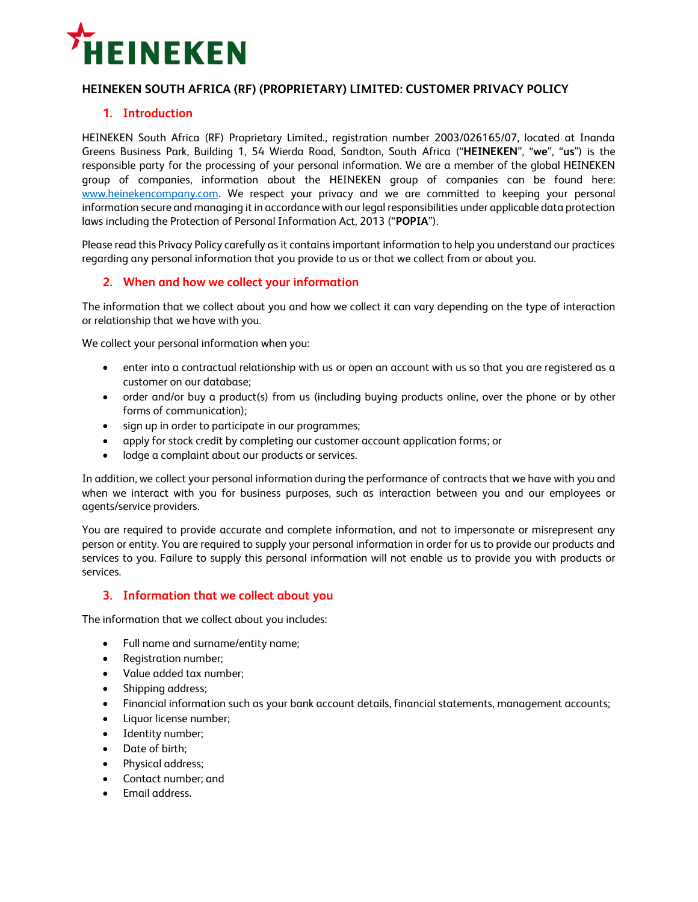

# **HEINEKEN SOUTH AFRICA (RF) (PROPRIETARY) LIMITED: CUSTOMER PRIVACY POLICY**

# **1. Introduction**

HEINEKEN South Africa (RF) Proprietary Limited., registration number 2003/026165/07, located at Inanda Greens Business Park, Building 1, 54 Wierda Road, Sandton, South Africa ("**HEINEKEN**", "**we**", "**us**") is the responsible party for the processing of your personal information. We are a member of the global HEINEKEN group of companies, information about the HEINEKEN group of companies can be found here: [www.heinekencompany.com.](http://www.heinekencompany.com/) We respect your privacy and we are committed to keeping your personal information secure and managing it in accordance with our legal responsibilities under applicable data protection laws including the Protection of Personal Information Act, 2013 ("**POPIA**").

Please read this Privacy Policy carefully as it contains important information to help you understand our practices regarding any personal information that you provide to us or that we collect from or about you.

### **2. When and how we collect your information**

The information that we collect about you and how we collect it can vary depending on the type of interaction or relationship that we have with you.

We collect your personal information when you:

- enter into a contractual relationship with us or open an account with us so that you are registered as a customer on our database;
- order and/or buy a product(s) from us (including buying products online, over the phone or by other forms of communication);
- sign up in order to participate in our programmes;
- apply for stock credit by completing our customer account application forms; or
- lodge a complaint about our products or services.

In addition, we collect your personal information during the performance of contracts that we have with you and when we interact with you for business purposes, such as interaction between you and our employees or agents/service providers.

You are required to provide accurate and complete information, and not to impersonate or misrepresent any person or entity. You are required to supply your personal information in order for us to provide our products and services to you. Failure to supply this personal information will not enable us to provide you with products or services.

### **3. Information that we collect about you**

The information that we collect about you includes:

- Full name and surname/entity name;
- Registration number;
- Value added tax number;
- Shipping address;
- Financial information such as your bank account details, financial statements, management accounts;
- Liquor license number;
- Identity number;
- Date of birth:
- Physical address;
- Contact number; and
- Email address.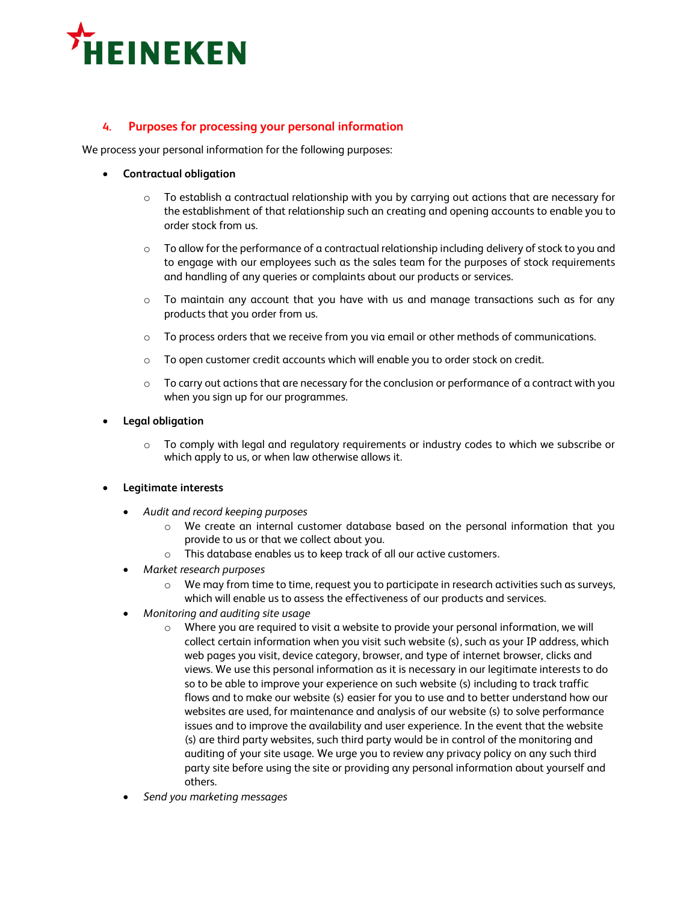

# **4. Purposes for processing your personal information**

We process your personal information for the following purposes:

- **Contractual obligation**
	- $\circ$  To establish a contractual relationship with you by carrying out actions that are necessary for the establishment of that relationship such an creating and opening accounts to enable you to order stock from us.
	- $\circ$  To allow for the performance of a contractual relationship including delivery of stock to you and to engage with our employees such as the sales team for the purposes of stock requirements and handling of any queries or complaints about our products or services.
	- $\circ$  To maintain any account that you have with us and manage transactions such as for any products that you order from us.
	- o To process orders that we receive from you via email or other methods of communications.
	- $\circ$  To open customer credit accounts which will enable you to order stock on credit.
	- $\circ$  To carry out actions that are necessary for the conclusion or performance of a contract with you when you sign up for our programmes.
- **Legal obligation**
	- $\circ$  To comply with legal and regulatory requirements or industry codes to which we subscribe or which apply to us, or when law otherwise allows it.
- **Legitimate interests**
	- *Audit and record keeping purposes*
		- o We create an internal customer database based on the personal information that you provide to us or that we collect about you.
		- o This database enables us to keep track of all our active customers.
	- *Market research purposes*
		- $\circ$  We may from time to time, request you to participate in research activities such as surveys, which will enable us to assess the effectiveness of our products and services.
	- *Monitoring and auditing site usage*
		- $\circ$  Where you are required to visit a website to provide your personal information, we will collect certain information when you visit such website (s), such as your IP address, which web pages you visit, device category, browser, and type of internet browser, clicks and views. We use this personal information as it is necessary in our legitimate interests to do so to be able to improve your experience on such website (s) including to track traffic flows and to make our website (s) easier for you to use and to better understand how our websites are used, for maintenance and analysis of our website (s) to solve performance issues and to improve the availability and user experience. In the event that the website (s) are third party websites, such third party would be in control of the monitoring and auditing of your site usage. We urge you to review any privacy policy on any such third party site before using the site or providing any personal information about yourself and others.
	- *Send you marketing messages*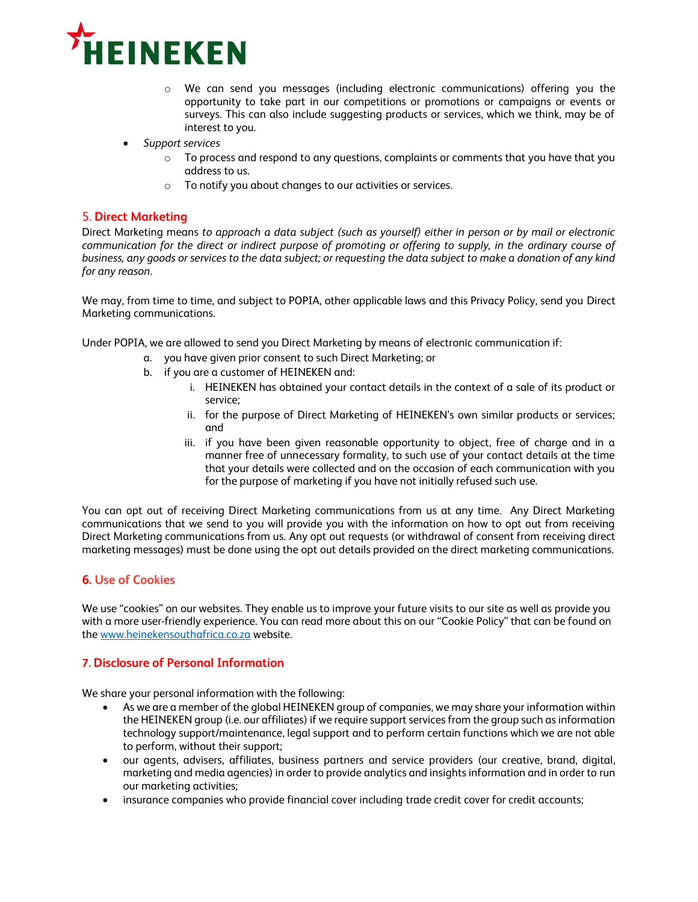

- o We can send you messages (including electronic communications) offering you the opportunity to take part in our competitions or promotions or campaigns or events or surveys. This can also include suggesting products or services, which we think, may be of interest to you.
- *Support services* 
	- $\circ$  To process and respond to any questions, complaints or comments that you have that you address to us.
	- o To notify you about changes to our activities or services.

# 5. **Direct Marketing**

Direct Marketing means *to approach a data subject (such as yourself) either in person or by mail or electronic*  communication for the direct or indirect purpose of promoting or offering to supply, in the ordinary course of *business, any goods or services to the data subject; or requesting the data subject to make a donation of any kind for any reason*.

We may, from time to time, and subject to POPIA, other applicable laws and this Privacy Policy, send you Direct Marketing communications.

Under POPIA, we are allowed to send you Direct Marketing by means of electronic communication if:

- a. you have given prior consent to such Direct Marketing; or
- b. if you are a customer of HEINEKEN and:
	- i. HEINEKEN has obtained your contact details in the context of a sale of its product or service;
	- ii. for the purpose of Direct Marketing of HEINEKEN's own similar products or services; and
	- iii. if you have been given reasonable opportunity to object, free of charge and in a manner free of unnecessary formality, to such use of your contact details at the time that your details were collected and on the occasion of each communication with you for the purpose of marketing if you have not initially refused such use.

You can opt out of receiving Direct Marketing communications from us at any time. Any Direct Marketing communications that we send to you will provide you with the information on how to opt out from receiving Direct Marketing communications from us. Any opt out requests (or withdrawal of consent from receiving direct marketing messages) must be done using the opt out details provided on the direct marketing communications.

### **6. Use of Cookies**

We use "cookies" on our websites. They enable us to improve your future visits to our site as well as provide you with a more user-friendly experience. You can read more about this on our "Cookie Policy" that can be found on the [www.heinekensouthafrica.co.za](http://www.heinekensouthafrica.co.za/) website.

#### **7. Disclosure of Personal Information**

We share your personal information with the following:

- As we are a member of the global HEINEKEN group of companies, we may share your information within the HEINEKEN group (i.e. our affiliates) if we require support services from the group such as information technology support/maintenance, legal support and to perform certain functions which we are not able to perform, without their support;
- our agents, advisers, affiliates, business partners and service providers (our creative, brand, digital, marketing and media agencies) in order to provide analytics and insights information and in order to run our marketing activities;
- insurance companies who provide financial cover including trade credit cover for credit accounts;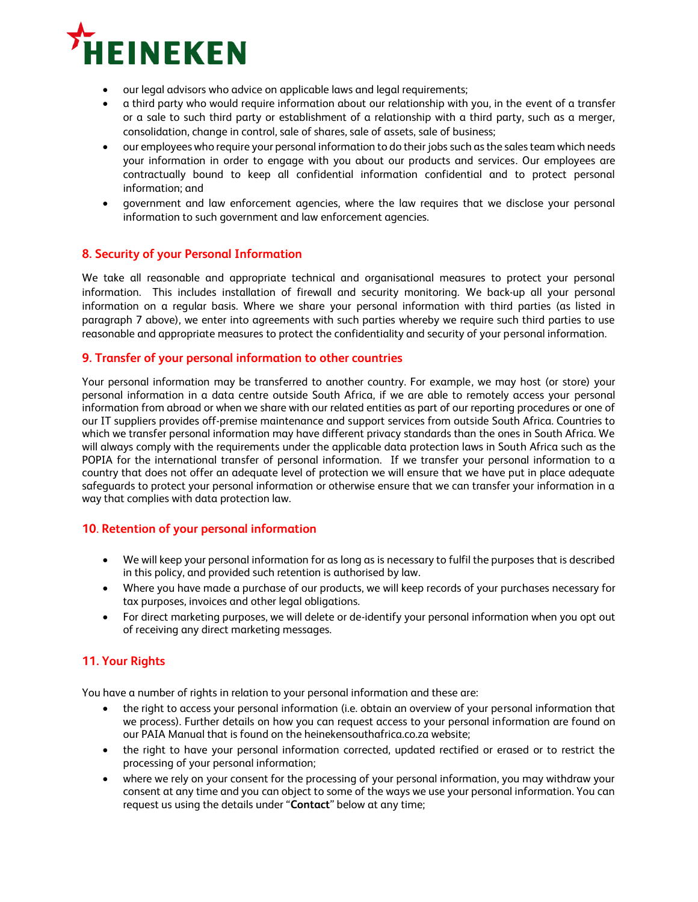

- our legal advisors who advice on applicable laws and legal requirements;
- a third party who would require information about our relationship with you, in the event of a transfer or a sale to such third party or establishment of a relationship with a third party, such as a merger, consolidation, change in control, sale of shares, sale of assets, sale of business;
- our employees who require your personal information to do their jobs such as the sales team which needs your information in order to engage with you about our products and services. Our employees are contractually bound to keep all confidential information confidential and to protect personal information; and
- government and law enforcement agencies, where the law requires that we disclose your personal information to such government and law enforcement agencies.

### **8. Security of your Personal Information**

We take all reasonable and appropriate technical and organisational measures to protect your personal information. This includes installation of firewall and security monitoring. We back-up all your personal information on a regular basis. Where we share your personal information with third parties (as listed in paragraph 7 above), we enter into agreements with such parties whereby we require such third parties to use reasonable and appropriate measures to protect the confidentiality and security of your personal information.

#### **9. Transfer of your personal information to other countries**

Your personal information may be transferred to another country. For example, we may host (or store) your personal information in a data centre outside South Africa, if we are able to remotely access your personal information from abroad or when we share with our related entities as part of our reporting procedures or one of our IT suppliers provides off-premise maintenance and support services from outside South Africa. Countries to which we transfer personal information may have different privacy standards than the ones in South Africa. We will always comply with the requirements under the applicable data protection laws in South Africa such as the POPIA for the international transfer of personal information. If we transfer your personal information to a country that does not offer an adequate level of protection we will ensure that we have put in place adequate safeguards to protect your personal information or otherwise ensure that we can transfer your information in a way that complies with data protection law.

### **10**. **Retention of your personal information**

- We will keep your personal information for as long as is necessary to fulfil the purposes that is described in this policy, and provided such retention is authorised by law.
- Where you have made a purchase of our products, we will keep records of your purchases necessary for tax purposes, invoices and other legal obligations.
- For direct marketing purposes, we will delete or de-identify your personal information when you opt out of receiving any direct marketing messages.

# **11. Your Rights**

You have a number of rights in relation to your personal information and these are:

- the right to access your personal information (i.e. obtain an overview of your personal information that we process). Further details on how you can request access to your personal information are found on our PAIA Manual that is found on the heinekensouthafrica.co.za website;
- the right to have your personal information corrected, updated rectified or erased or to restrict the processing of your personal information;
- where we rely on your consent for the processing of your personal information, you may withdraw your consent at any time and you can object to some of the ways we use your personal information. You can request us using the details under "**Contact**" below at any time;